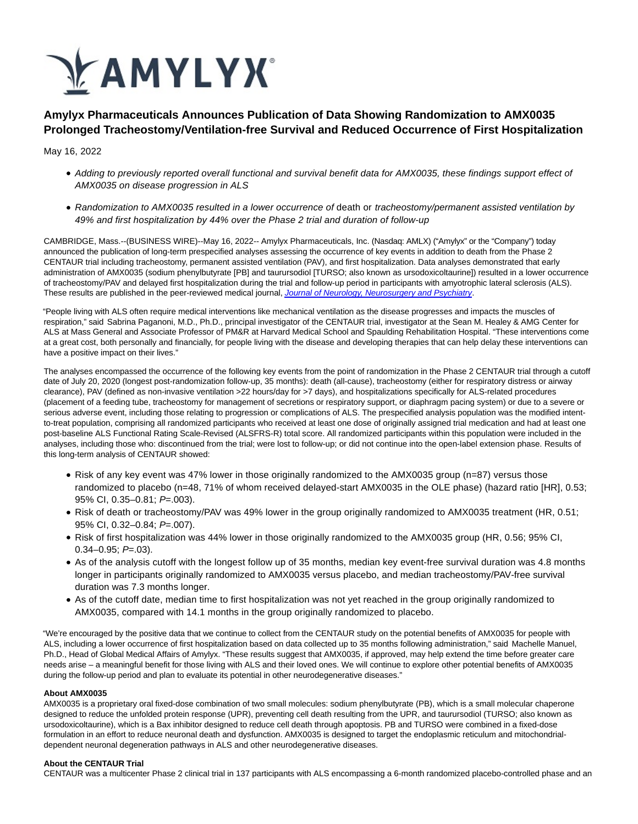

# **Amylyx Pharmaceuticals Announces Publication of Data Showing Randomization to AMX0035 Prolonged Tracheostomy/Ventilation-free Survival and Reduced Occurrence of First Hospitalization**

May 16, 2022

- Adding to previously reported overall functional and survival benefit data for AMX0035, these findings support effect of AMX0035 on disease progression in ALS
- Randomization to AMX0035 resulted in a lower occurrence of death or tracheostomy/permanent assisted ventilation by 49% and first hospitalization by 44% over the Phase 2 trial and duration of follow-up

CAMBRIDGE, Mass.--(BUSINESS WIRE)--May 16, 2022-- Amylyx Pharmaceuticals, Inc. (Nasdaq: AMLX) ("Amylyx" or the "Company") today announced the publication of long-term prespecified analyses assessing the occurrence of key events in addition to death from the Phase 2 CENTAUR trial including tracheostomy, permanent assisted ventilation (PAV), and first hospitalization. Data analyses demonstrated that early administration of AMX0035 (sodium phenylbutyrate [PB] and taurursodiol [TURSO; also known as ursodoxicoltaurine]) resulted in a lower occurrence of tracheostomy/PAV and delayed first hospitalization during the trial and follow-up period in participants with amyotrophic lateral sclerosis (ALS). These results are published in the peer-reviewed medical journal, [Journal of Neurology, Neurosurgery and Psychiatry](https://cts.businesswire.com/ct/CT?id=smartlink&url=https%3A%2F%2Fjnnp.bmj.com%2Fcontent%2Fearly%2F2022%2F05%2F15%2Fjnnp-2022-329024&esheet=52711348&newsitemid=20220506005325&lan=en-US&anchor=Journal+of+Neurology%2C+Neurosurgery+and+Psychiatry&index=1&md5=a904d20c16b5cbeee6625ae2d6ab816c).

"People living with ALS often require medical interventions like mechanical ventilation as the disease progresses and impacts the muscles of respiration," said Sabrina Paganoni, M.D., Ph.D., principal investigator of the CENTAUR trial, investigator at the Sean M. Healey & AMG Center for ALS at Mass General and Associate Professor of PM&R at Harvard Medical School and Spaulding Rehabilitation Hospital. "These interventions come at a great cost, both personally and financially, for people living with the disease and developing therapies that can help delay these interventions can have a positive impact on their lives."

The analyses encompassed the occurrence of the following key events from the point of randomization in the Phase 2 CENTAUR trial through a cutoff date of July 20, 2020 (longest post-randomization follow-up, 35 months): death (all-cause), tracheostomy (either for respiratory distress or airway clearance), PAV (defined as non-invasive ventilation >22 hours/day for >7 days), and hospitalizations specifically for ALS-related procedures (placement of a feeding tube, tracheostomy for management of secretions or respiratory support, or diaphragm pacing system) or due to a severe or serious adverse event, including those relating to progression or complications of ALS. The prespecified analysis population was the modified intentto-treat population, comprising all randomized participants who received at least one dose of originally assigned trial medication and had at least one post-baseline ALS Functional Rating Scale-Revised (ALSFRS-R) total score. All randomized participants within this population were included in the analyses, including those who: discontinued from the trial; were lost to follow-up; or did not continue into the open-label extension phase. Results of this long-term analysis of CENTAUR showed:

- Risk of any key event was 47% lower in those originally randomized to the AMX0035 group (n=87) versus those randomized to placebo (n=48, 71% of whom received delayed-start AMX0035 in the OLE phase) (hazard ratio [HR], 0.53; 95% CI, 0.35–0.81; P=.003).
- Risk of death or tracheostomy/PAV was 49% lower in the group originally randomized to AMX0035 treatment (HR, 0.51; 95% CI, 0.32–0.84; P=.007).
- Risk of first hospitalization was 44% lower in those originally randomized to the AMX0035 group (HR, 0.56; 95% CI,  $0.34 - 0.95$ ;  $P = .03$ ).
- As of the analysis cutoff with the longest follow up of 35 months, median key event-free survival duration was 4.8 months longer in participants originally randomized to AMX0035 versus placebo, and median tracheostomy/PAV-free survival duration was 7.3 months longer.
- As of the cutoff date, median time to first hospitalization was not yet reached in the group originally randomized to AMX0035, compared with 14.1 months in the group originally randomized to placebo.

"We're encouraged by the positive data that we continue to collect from the CENTAUR study on the potential benefits of AMX0035 for people with ALS, including a lower occurrence of first hospitalization based on data collected up to 35 months following administration," said Machelle Manuel, Ph.D., Head of Global Medical Affairs of Amylyx. "These results suggest that AMX0035, if approved, may help extend the time before greater care needs arise – a meaningful benefit for those living with ALS and their loved ones. We will continue to explore other potential benefits of AMX0035 during the follow-up period and plan to evaluate its potential in other neurodegenerative diseases."

## **About AMX0035**

AMX0035 is a proprietary oral fixed-dose combination of two small molecules: sodium phenylbutyrate (PB), which is a small molecular chaperone designed to reduce the unfolded protein response (UPR), preventing cell death resulting from the UPR, and taurursodiol (TURSO; also known as ursodoxicoltaurine), which is a Bax inhibitor designed to reduce cell death through apoptosis. PB and TURSO were combined in a fixed-dose formulation in an effort to reduce neuronal death and dysfunction. AMX0035 is designed to target the endoplasmic reticulum and mitochondrialdependent neuronal degeneration pathways in ALS and other neurodegenerative diseases.

## **About the CENTAUR Trial**

CENTAUR was a multicenter Phase 2 clinical trial in 137 participants with ALS encompassing a 6-month randomized placebo-controlled phase and an